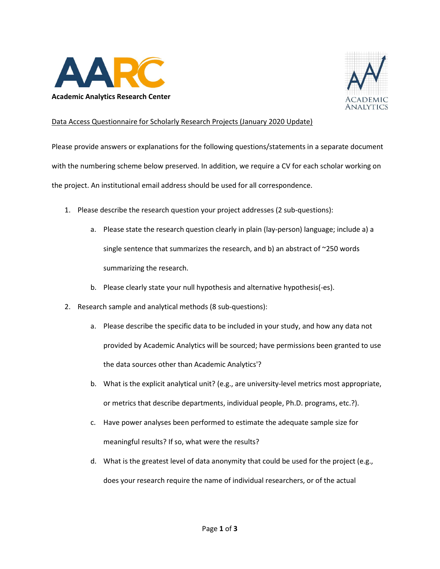



## Data Access Questionnaire for Scholarly Research Projects (January 2020 Update)

Please provide answers or explanations for the following questions/statements in a separate document with the numbering scheme below preserved. In addition, we require a CV for each scholar working on the project. An institutional email address should be used for all correspondence.

- 1. Please describe the research question your project addresses (2 sub-questions):
	- a. Please state the research question clearly in plain (lay-person) language; include a) a single sentence that summarizes the research, and b) an abstract of ~250 words summarizing the research.
	- b. Please clearly state your null hypothesis and alternative hypothesis(-es).
- 2. Research sample and analytical methods (8 sub-questions):
	- a. Please describe the specific data to be included in your study, and how any data not provided by Academic Analytics will be sourced; have permissions been granted to use the data sources other than Academic Analytics'?
	- b. What is the explicit analytical unit? (e.g., are university-level metrics most appropriate, or metrics that describe departments, individual people, Ph.D. programs, etc.?).
	- c. Have power analyses been performed to estimate the adequate sample size for meaningful results? If so, what were the results?
	- d. What is the greatest level of data anonymity that could be used for the project (e.g., does your research require the name of individual researchers, or of the actual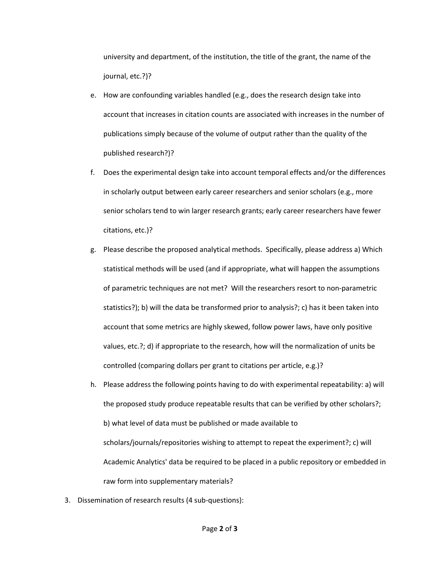university and department, of the institution, the title of the grant, the name of the journal, etc.?)?

- e. How are confounding variables handled (e.g., does the research design take into account that increases in citation counts are associated with increases in the number of publications simply because of the volume of output rather than the quality of the published research?)?
- f. Does the experimental design take into account temporal effects and/or the differences in scholarly output between early career researchers and senior scholars (e.g., more senior scholars tend to win larger research grants; early career researchers have fewer citations, etc.)?
- g. Please describe the proposed analytical methods. Specifically, please address a) Which statistical methods will be used (and if appropriate, what will happen the assumptions of parametric techniques are not met? Will the researchers resort to non-parametric statistics?); b) will the data be transformed prior to analysis?; c) has it been taken into account that some metrics are highly skewed, follow power laws, have only positive values, etc.?; d) if appropriate to the research, how will the normalization of units be controlled (comparing dollars per grant to citations per article, e.g.)?
- h. Please address the following points having to do with experimental repeatability: a) will the proposed study produce repeatable results that can be verified by other scholars?; b) what level of data must be published or made available to scholars/journals/repositories wishing to attempt to repeat the experiment?; c) will Academic Analytics' data be required to be placed in a public repository or embedded in raw form into supplementary materials?
- 3. Dissemination of research results (4 sub-questions):